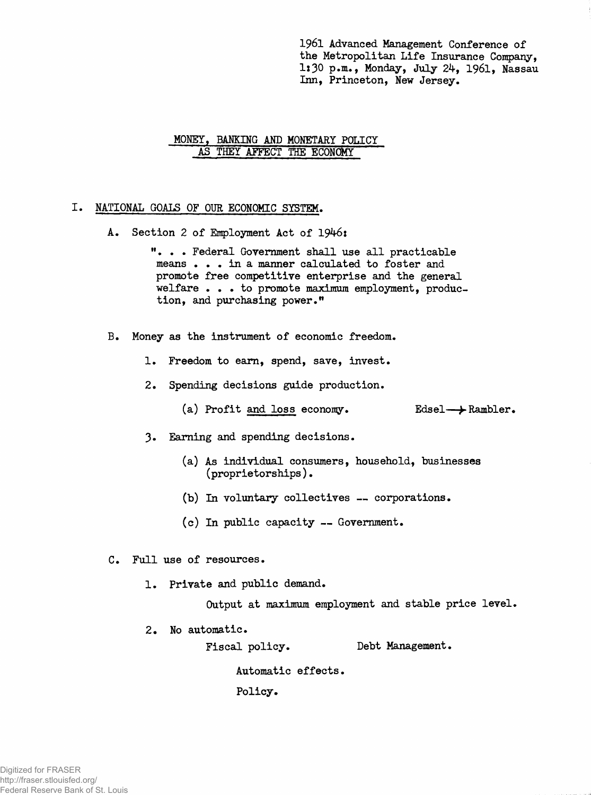1961 Advanced Management Conference of **the Metropolitan Life Insurance Company, 1:30 p.m., Monday, July 2^, 1961, Nassau Inn, Princeton, New Jersey.**

# **MONEY, BANKING AND MONETARY POLICY AS THEY AFFECT THE ECONOMY**

# **NATIONAL GOALS OF OUR ECONOMIC SYSTEM.**

A. Section 2 of Employment Act of 1946:

**"... Federal Government shall use all practicable means . . . in a manner calculated to foster and promote free competitive enterprise and the general welfare . . . to promote maximum employment, production, and purchasing power."**

- **B. Money as the instrument of economic freedom.**
	- **1. Freedom to earn, spend, save, invest.**
	- **2. Spending decisions guide production.**
		- **(a) Profit and loss economy. Edsel***—^* **Rambler.**
	- **3. Earning and spending decisions.**
		- **(a) As individual consumers, household, businesses (proprietorships).**
		- **(b) In voluntary collectives corporations.**
		- **(c) In public capacity Government.**
- **C. Full use of resources.**
	- **1. Private and public demand.**

**Output at maximum employment and stable price level.**

**2. No automatic.**

**Fiscal policy. Debt Management.**

**Automatic effects.**

**Policy.**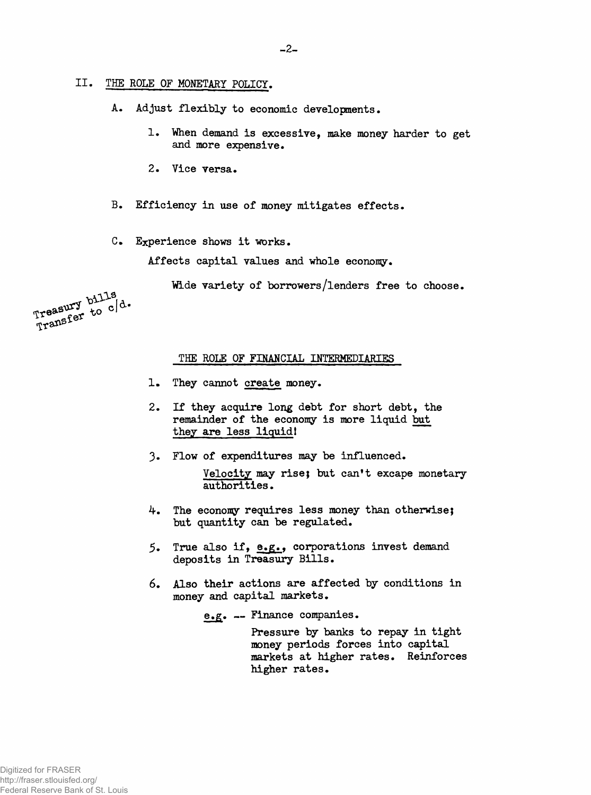# **II. THE ROLE OF MONETARY POLICY.**

**A. Adjust flexibly to economic developments.**

- **1. "When demand is excessive, make money harder to get and more expensive.**
- **2. Vice versa.**
- **B. Efficiency in use of money mitigates effects.**
- **C. Experience shows it works.**

**Affects capital values and whole economy.**

**Wide variety of borrowers/lenders free to choose.**

Treasury bills Treasury bills d.<br>Transfer to c d.

### **THE ROLE OF FINANCIAL INTERMEDIARIES**

- **They cannot create money. 1.**
- **If they acquire long debt for short debt, the remainder of the economy is more liquid but they are less liquid! 2**.
- **Flow of expenditures may be influenced. 3-**

**Velocity may rise; but can't excape monetary authorities.**

- **The economy requires less money than otherwise; but quantity can be regulated. 4.**
- **True also if, e.g., corporations invest demand deposits in Treasury Bills. 5.**
- **Also their actions are affected by conditions in money and capital markets.** 6.

**e.g. — Finance companies.**

**Pressure by banks to repay in tight money periods forces into capital markets at higher rates. Reinforces higher rates.**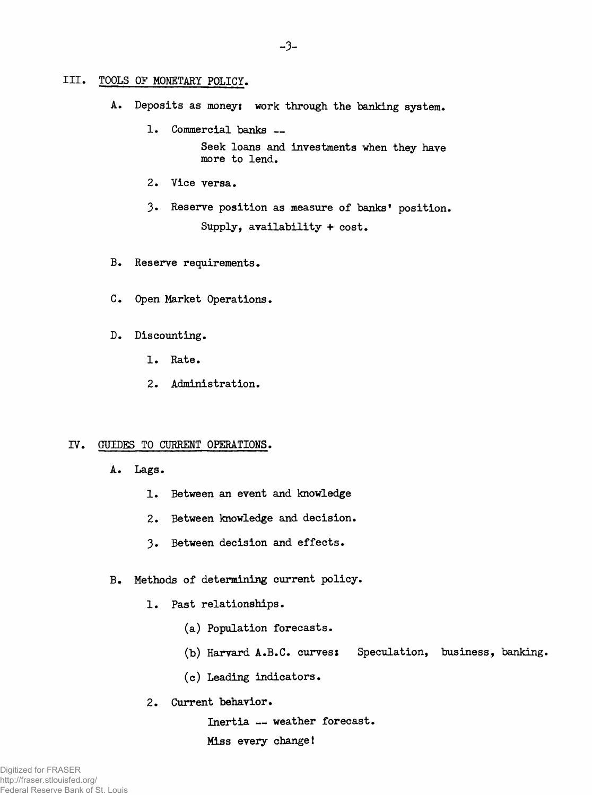# **III. TOOLS OF MONETARY POLICY.**

- A. Deposits as money: work through the banking system.
	- **1. Commercial banks \_ Seek loans and investments when they have more to lend,**
	- **2. Vice versa.**
	- **3\* Reserve position as measure of banks' position. Supply, availability + cost.**
- **B. Reserve requirements.**
- **C. Open Market Operations.**
- **D. Discounting.**
	- **1. Rate.**
	- **2. Administration.**

# **IV. GUIDES TO CURRENT OPERATIONS.**

- **A. Lags.**
	- **1. Between an event and knowledge**
	- **2. Between knowledge and decision.**
	- **3. Between decision and effects.**
- **B. Methods of determining current policy.**
	- **1. Past relationships.**
		- **(a) Population forecasts.**
		- **(b) Harvard A.B.C. curves***%* **Speculation, business, banking.**
		- **(c) Leading indicators.**
	- **2. Current behavior.**

**Inertia — weather forecast. Miss every change!**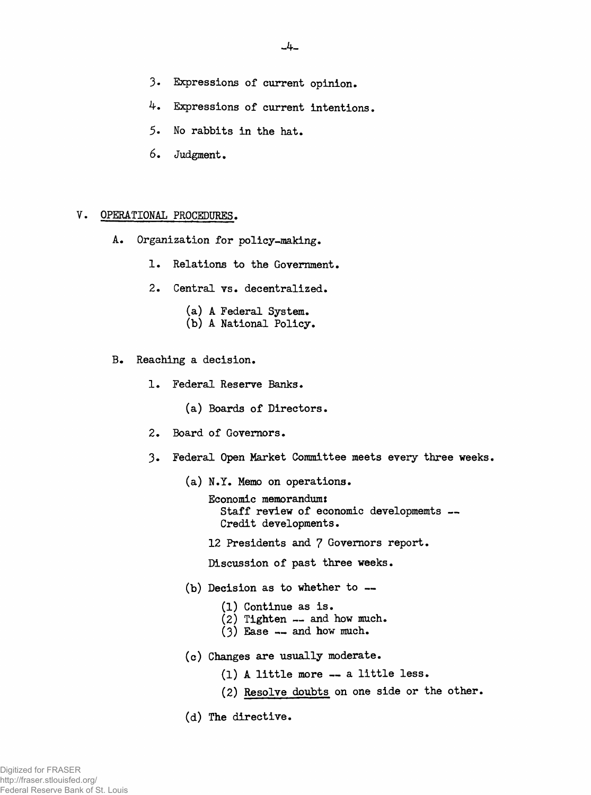- **3« Expressions of current opinion.**
- 4. **Expressions of current intentions,**
- **5. No rabbits in the hat.**
- **6. Judgment,**

#### V. **OPERATIONAL PROCEDURES.**

- **A. Organization for policy-making.**
	- **1. Relations to the Government.**
	- **2. Central vs. decentralized.**
		- **(a) A Federal System.**
		- **(b) A National Policy.**
- **B. Reaching a decision,**
	- **1. Federal Reserve Banks.**
		- **(a) Boards of Directors.**
	- **2. Board of Governors.**
	- **3. Federal Open Market Committee meets every three weeks.**
		- **(a) N.Y. Memo on operations.**
			- **Economic memorandum: Staff review of economic developmemts — Credit developments.**
			- **12 Presidents and 7 Governors report.**

**Discussion of past three weeks.**

- **(b) Decision as to whether to —**
	- **(1) Continue as is.**
	- **(2) Tighten and how much.**
	- **(3) Ease and how much.**
- **(c) Changes are usually moderate.**
	- **(1) A little more a little less.**
	- **(2) Resolve doubts on one side or the other.**
- **(d) The directive.**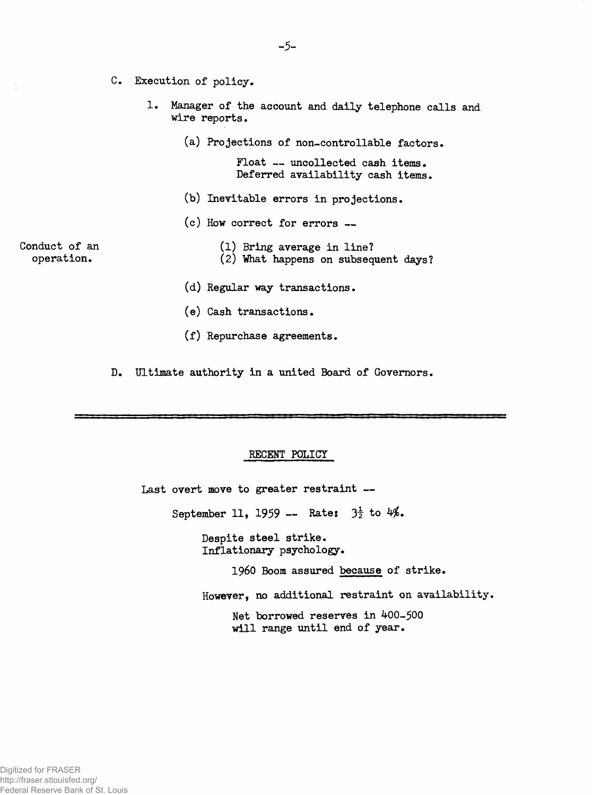- **c . Execution of policy.**
	- **1. Manager of the account and daily telephone calls and wire reports.**
		- **(a) Projections of non-controllable factors.**

**Float — uncollected cash items. Deferred availability cash items.**

- **(b) Inevitable errors in projections.**
- **(c) How correct for errors —**

**Conduct of an operation.**

- **(1) Bring average in line? (2) "What happens on subsequent days?**
- **(d) Regular way transactions.**
- **(e) Cash transactions.**
- **(f) Repurchase agreements.**

**D . Ultimate authority in a united Board of Governors.**

# **RECENT POLICY**

**Last overt move to greater restraint — September 11, 1959 — Ratei 3t to 4\$. Despite steel strike. Inflationary psychology. I960 Boom assured because of strike.**

**However, no additional restraint on availability.**

**Net borrowed reserves in 400-500 will range until end of year.**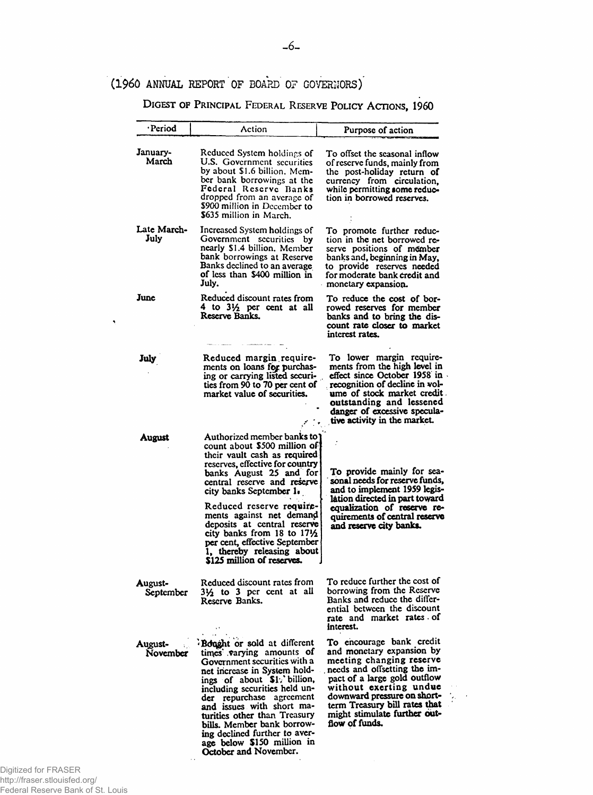# **(1960 ANNUAL REPORT OF BOARD OF GOVERNORS)**

DIGEST OF PRINCIPAL FEDERAL RESERVE POLICY ACTIONS, 1960

| ·Period              | Action                                                                                                                                                                                                                                                                                                                                                                                                                                          | Purpose of action                                                                                                                                                                                                                                                                             |
|----------------------|-------------------------------------------------------------------------------------------------------------------------------------------------------------------------------------------------------------------------------------------------------------------------------------------------------------------------------------------------------------------------------------------------------------------------------------------------|-----------------------------------------------------------------------------------------------------------------------------------------------------------------------------------------------------------------------------------------------------------------------------------------------|
| January-<br>March    | Reduced System holdings of<br>U.S. Government securities<br>by about \$1.6 billion. Mem-<br>ber bank borrowings at the<br>Federal Reserve Banks<br>dropped from an average of<br>\$900 million in December to<br>\$635 million in March.                                                                                                                                                                                                        | To offset the seasonal inflow<br>of reserve funds, mainly from<br>the post-holiday return of<br>currency from circulation,<br>while permitting some reduc-<br>tion in borrowed reserves.                                                                                                      |
| Late March-<br>July  | Increased System holdings of<br>Government securities by<br>nearly \$1.4 billion. Member<br>bank borrowings at Reserve<br>Banks declined to an average<br>of less than \$400 million in<br>July.                                                                                                                                                                                                                                                | To promote further reduc-<br>tion in the net borrowed re-<br>serve positions of member<br>banks and, beginning in May,<br>to provide reserves needed<br>for moderate bank credit and<br>monetary expansion.                                                                                   |
| June                 | Reduced discount rates from<br>4 to 31/2 per cent at all<br>Reserve Banks.                                                                                                                                                                                                                                                                                                                                                                      | To reduce the cost of bor-<br>rowed reserves for member<br>banks and to bring the dis-<br>count rate closer to market<br>interest rates.                                                                                                                                                      |
| July                 | Reduced margin require-<br>ments on loans for purchas-<br>ing or carrying listed securi-<br>ties from 90 to 70 per cent of<br>market value of securities.                                                                                                                                                                                                                                                                                       | To lower margin require-<br>ments from the high level in<br>effect since October 1958 in<br>recognition of decline in vol-<br>ume of stock market credit.<br>outstanding and lessened<br>danger of excessive specula-<br>tive activity in the market.                                         |
| August               | Authorized member banks to<br>count about \$500 million of<br>their vault cash as required<br>reserves, effective for country<br>banks August 25 and for<br>central reserve and reserve<br>city banks September 1.<br>Reduced reserve require-<br>ments against net demand<br>deposits at central reserve<br>city banks from 18 to $17\frac{1}{2}$<br>per cent, effective September<br>1, thereby releasing about<br>\$125 million of reserves. | To provide mainly for sea-<br>sonal needs for reserve funds,<br>and to implement 1959 legis-<br>lation directed in part toward<br>equalization of reserve re-<br>quirements of central reserve<br>and reserve city banks.                                                                     |
| August-<br>September | Reduced discount rates from<br>31/ <sub>2</sub> to 3 per cent at all<br>Reserve Banks.                                                                                                                                                                                                                                                                                                                                                          | To reduce further the cost of<br>borrowing from the Reserve<br>Banks and reduce the differ-<br>ential between the discount<br>rate and market rates of<br>interest.                                                                                                                           |
| August-<br>November  | <b>Bought</b> or sold at different<br>times varying amounts of<br>Government securities with a<br>net increase in System hold-<br>ings of about \$1. billion,<br>including securities held un-<br>der repurchase agreement<br>and issues with short ma-<br>turities other than Treasury<br>bills. Member bank borrow-<br>ing declined further to aver-<br>age below \$150 million in<br>October and November.                                   | To encourage bank credit<br>and monetary expansion by<br>meeting changing reserve<br>needs and offsetting the im-<br>pact of a large gold outflow<br>without exerting undue<br>downward pressure on short-<br>term Treasury bill rates that<br>might stimulate further out-<br>flow of funds. |

 $\ddot{\phantom{1}}$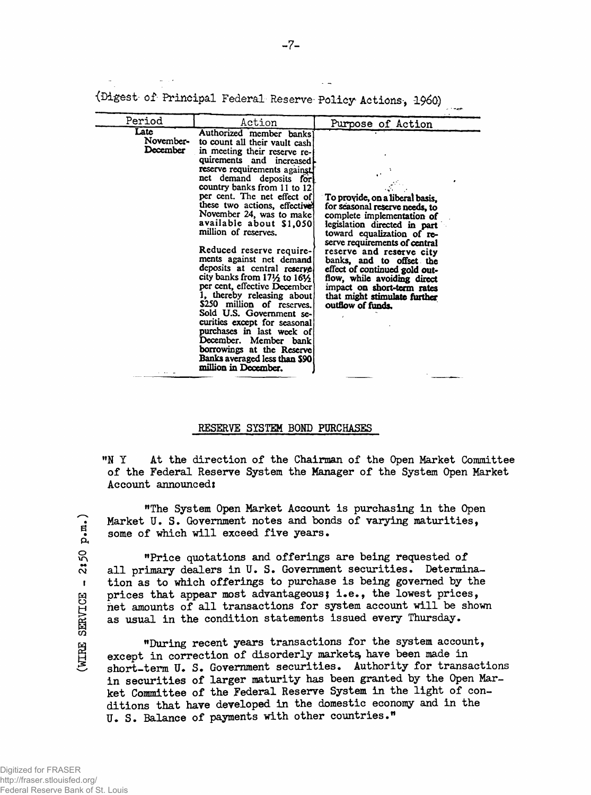|                               |                                                                                                                                                                                                                                                                                                                                                                                                                                                                                                                                                                                                                                                                                                                                                                                               |                                                                                                                                                                                                                                                                                                                                                                                                           | هيوه د ب |
|-------------------------------|-----------------------------------------------------------------------------------------------------------------------------------------------------------------------------------------------------------------------------------------------------------------------------------------------------------------------------------------------------------------------------------------------------------------------------------------------------------------------------------------------------------------------------------------------------------------------------------------------------------------------------------------------------------------------------------------------------------------------------------------------------------------------------------------------|-----------------------------------------------------------------------------------------------------------------------------------------------------------------------------------------------------------------------------------------------------------------------------------------------------------------------------------------------------------------------------------------------------------|----------|
| Period                        | Action                                                                                                                                                                                                                                                                                                                                                                                                                                                                                                                                                                                                                                                                                                                                                                                        | Purpose of Action                                                                                                                                                                                                                                                                                                                                                                                         |          |
| Late<br>November-<br>December | Authorized member banks)<br>to count all their vault cash<br>in meeting their reserve re-<br>quirements and increased<br>reserve requirements against.<br>net demand deposits for<br>country banks from 11 to 12<br>per cent. The net effect of<br>these two actions, effectively<br>November 24, was to make<br>available about \$1,050<br>million of reserves.<br>Reduced reserve require-<br>ments against net demand<br>deposits at central reserve<br>city banks from 171/2 to 161/2<br>per cent, effective December<br>1, thereby releasing about<br>\$250 million of reserves.<br>Sold U.S. Government se-<br>curities except for seasonal<br>purchases in last week of<br>December. Member bank<br>borrowings at the Reserve<br>Banks averaged less than \$90<br>million in December. | To provide, on a liberal basis,<br>for seasonal reserve needs, to<br>complete implementation of<br>legislation directed in part<br>toward equalization of re-<br>serve requirements of central<br>reserve and reserve city<br>banks, and to offset the<br>effect of continued gold out-<br>flow, while avoiding direct<br>impact on short-term rates<br>that might stimulate further<br>outflow of funds. |          |

{Digest of Principal Federal Reserve- Policy Actions-, I960)

#### **RESERVE SYSTEM BOND PURCHASES**

**"N Y At the direction of the Chairman of the Open Market Committee of the Federal Reserve System the Manager of the System Open Market Account announced:**

**"The System Open Market Account is purchasing in the Open Market U. S. Government notes and bonds of varying maturities,** some of which will exceed five years.

**"Price quotations and offerings are being requested of all primary dealers in U. S. Government securities. Determination as to which offerings to purchase is being governed by the prices that appear most advantageous; i.e., the lowest prices, net amounts of all transactions for system account will be shown as usual in the condition statements issued every Thursday.**

**"During recent years transactions for the system account,** except in correction of disorderly markets, have been made in **short-term U. S. Government securities. Authority for transactions in securities of larger maturity has been granted by the Open Market Committee of the Federal Reserve System in the light of conditions that have developed in the domestic economy and in the U. S. Balance of payments with other countries."**

 $2:50 p.m.$ **(WIRE SERVICE - 2:50 p.m.)**  $\pmb{\mathsf{I}}$ WIRE SERVICE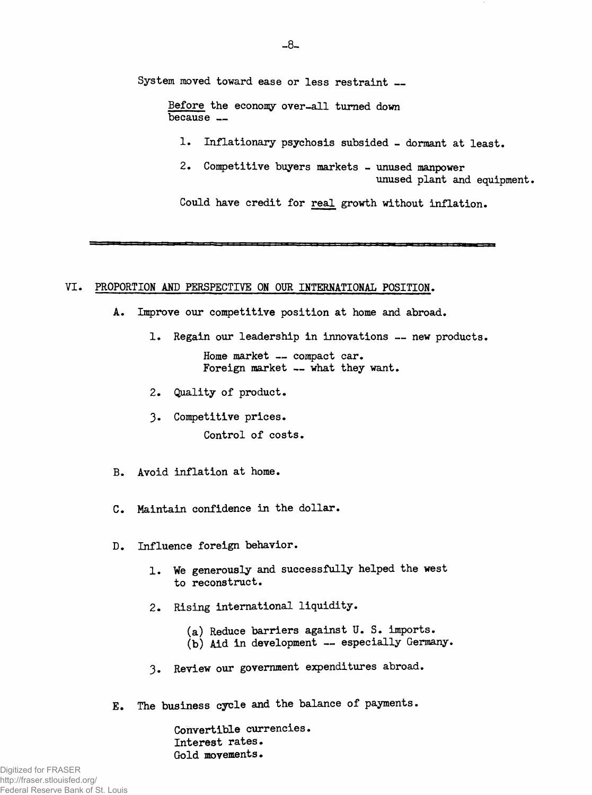**System moved toward ease or less restraint\_**

**Before the economy over-all turned down because —**

**1. Inflationary psychosis subsided - dormant at least.**

**2. Competitive buyers markets - unused manpower unused plant and equipment.**

**Could have credit for real growth without inflation.**

**VI. PROPORTION AND PERSPECTIVE ON OUR INTERNATIONAL POSITION.**

- **A. Improve our competitive position at home and abroad.**
	- **1. Regain our leadership in innovations new products.**

**Home market — compact car. Foreign market — what they want.**

- **2. Quality of product.**
- **3- Competitive prices. Control of costs.**
- **B. Avoid inflation at home.**
- **C. Maintain confidence in the dollar.**
- **D. Influence foreign behavior.**
	- **1. We generously and successfully helped the west to reconstruct.**
	- **2. Rising international liquidity.**
		- **(a) Reduce barriers against U. S. imports.**
		- **(b) Aid in development especially Germany.**
	- **3. Review our government expenditures abroad.**
- **E\* The business cycle and the balance of payments.**

**Convertible currencies. Interest rates.** Gold movements.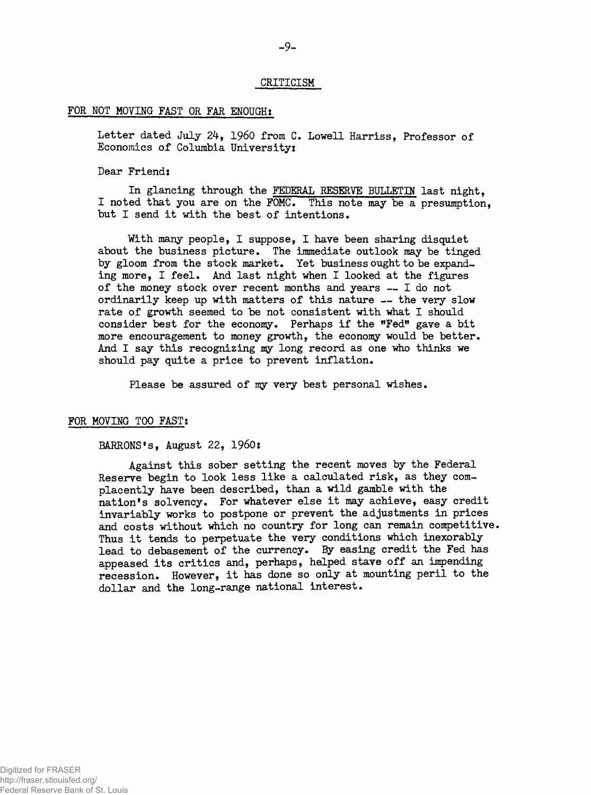#### **CRITICISM**

#### **FOR NOT MOVING FAST OR FAR ENOUGH?**

**Letter dated July 24, i960 from C. Lowell Harriss, Professor of Economics of Columbia University:**

#### **Dear Friend:**

**In glancing through the FEDERAL RESERVE BULLETIN last night, I noted that you are on the FOMC. This note may be a presumption, but I send it with the best of intentions.**

**With many people, I suppose, I have been sharing disquiet about the business picture. The immediate outlook may be tinged by gloom from the stock market. Yet business ought to be expanding more, I feel. And last night when I looked at the figures of the money stock over recent months and years — I do not ordinarily keep up with matters of this nature — the very slow rate of growth seemed to be not consistent with what I should consider best for the economy. Perhaps if the "Fed" gave a bit more encouragement to money growth, the economy would be better. And I say this recognizing my long record as one who thinks we should pay quite a price to prevent inflation.**

**Please be assured of my very best personal wishes.**

#### **FOR MOVING TOO FAST:**

**BARRONS1s, August 22, I960:**

**Against this sober setting the recent moves by the Federal Reserve begin to look less like a calculated risk, as they complacently have been described, than a wild gamble with the nation's solvency. For whatever else it may achieve, easy credit invariably works to postpone or prevent the adjustments in prices and costs without which no country for long can remain competitive. Thus it tends to perpetuate the very conditions which inexorably lead to debasement of the currency.** *By* **easing credit the Fed has appeased its critics and, perhaps, helped stave off an impending recession. However, it has done so only at mounting peril to the dollar and the long-range national interest.**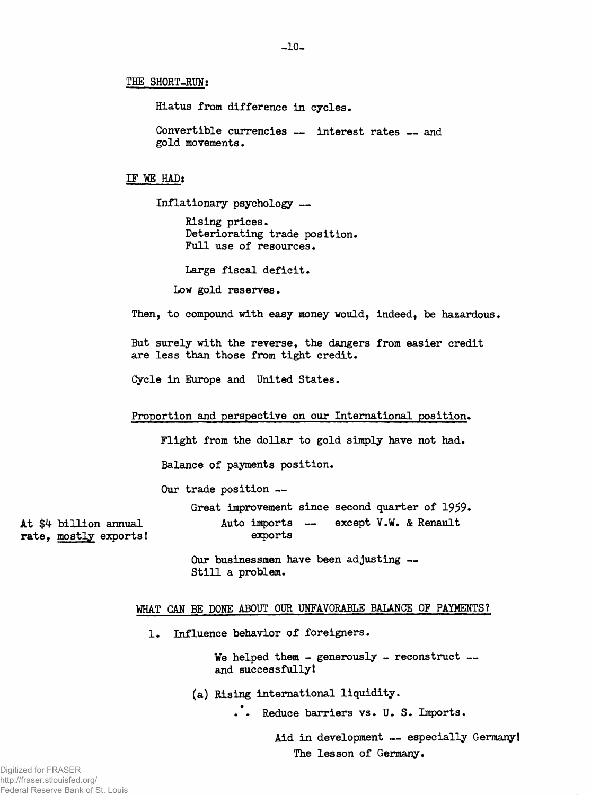# **THE SHORT-RUN1**

**Hiatus from difference in cycles.**

Convertible currencies -- interest rates -- and **gold movements.**

#### **IF WE HAD:**

**Inflationary psychology —**

**Rising prices. Deteriorating trade position. Full use of resources.**

**Large fiscal deficit.**

**Low gold reserves.**

**Then, to compound with easy money would, indeed, be hazardous.**

**But surely with the reverse, the dangers from easier credit are less than those from tight credit.**

**Cycle in Europe and United States.**

#### **Proportion and perspective on our International position.**

**Flight from the dollar to gold simply have not had.**

**Balance of payments position.**

**Our trade position —**

**Great improvement since second quarter of 1959.**

**At \$4 billion annual Auto imports — except V.W. & Renault rate, mostly exports! exports**

**Our businessmen have been adjusting — Still a problem.**

# **WHAT CAN BE DONE ABOUT OUR UNFAVORABLE BALANCE OF PAYMENTS?**

**1. Influence behavior of foreigners.**

**We helped them - generously - reconstruct and successfully!**

**(a) Rising international liquidity.**

**Reduce barriers vs. U. S. Imports.**

**Aid in development — especially Germany! The lesson of Germany.**